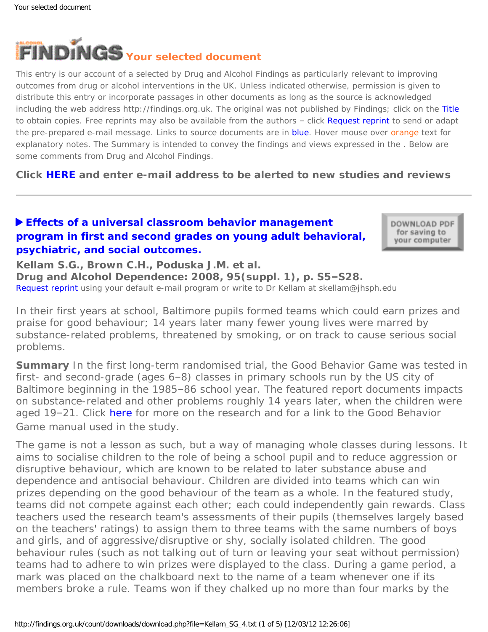<span id="page-0-0"></span>

This entry is our account of a selected by Drug and Alcohol Findings as particularly relevant to improving outcomes from drug or alcohol interventions in the UK. Unless indicated otherwise, permission is given to distribute this entry or incorporate passages in other documents as long as the source is acknowledged including the web address http://findings.org.uk. The original was not published by Findings; click on the Title to obtain copies. Free reprints may also be available from the authors - click Request reprint to send or adapt the pre-prepared e-mail message. Links to source documents are in blue. Hover mouse over orange text for explanatory notes. The Summary is intended to convey the findings and views expressed in the . Below are some comments from Drug and Alcohol Findings.

**Click [HERE](https://findings.org.uk/index.php#signUp) and enter e-mail address to be alerted to new studies and reviews**

## **[Effects of a universal classroom behavior management](http://dx.doi.org/10.1016/j.drugalcdep.2008.01.004)  [program in first and second grades on young adult behavioral,](http://dx.doi.org/10.1016/j.drugalcdep.2008.01.004)  [psychiatric, and social outcomes.](http://dx.doi.org/10.1016/j.drugalcdep.2008.01.004)**

DOWNLOAD PDF for saving to your computer

**Kellam S.G., Brown C.H., Poduska J.M. et al. Drug and Alcohol Dependence: 2008, 95(suppl. 1), p. S5–S28.** [Request reprint](mailto:skellam@jhsph.edu?Subject=Reprint%20request&body=Dear Dr Kellam%0A%0AOn the Drug and Alcohol Findings web site (https://findings.org.uk) I read about your article:%0AKellam S.G., Brown C.H., Poduska J.M. et al. Effects of a universal classroom behavior management program in first and second grades on young adult behavioral, psychiatric, and social outcomes. Drug and Alcohol Dependence: 2008, 95(suppl. 1), p. S5-S28.%0A%0AWould it be possible to for me to be sent a PDF reprint or the manuscript by replying to this e-mail?%0A) using your default e-mail program or write to Dr Kellam at skellam@jhsph.edu

*In their first years at school, Baltimore pupils formed teams which could earn prizes and praise for good behaviour; 14 years later many fewer young lives were marred by substance-related problems, threatened by smoking, or on track to cause serious social problems.*

**Summary** In the first long-term randomised trial, the Good Behavior Game was tested in first- and second-grade (ages 6–8) classes in primary schools run by the US city of Baltimore beginning in the 1985–86 school year. The featured report documents impacts on substance-related and other problems roughly 14 years later, when the children were aged 19–21. Click [here](http://evidencebasedprograms.org/wordpress/?page_id=81) for more on the research and for a link to the Good Behavior Game manual used in the study.

The game is not a lesson as such, but a way of managing whole classes during lessons. It aims to socialise children to the role of being a school pupil and to reduce aggression or disruptive behaviour, which are known to be related to later substance abuse and dependence and antisocial behaviour. Children are divided into teams which can win prizes depending on the good behaviour of the team as a whole. In the featured study, teams did not compete against each other; each could independently gain rewards. Class teachers used the research team's assessments of their pupils (themselves largely based on the teachers' ratings) to assign them to three teams with the same numbers of boys and girls, and of aggressive/disruptive or shy, socially isolated children. The good behaviour rules (such as not talking out of turn or leaving your seat without permission) teams had to adhere to win prizes were displayed to the class. During a game period, a mark was placed on the chalkboard next to the name of a team whenever one if its members broke a rule. Teams won if they chalked up no more than four marks by the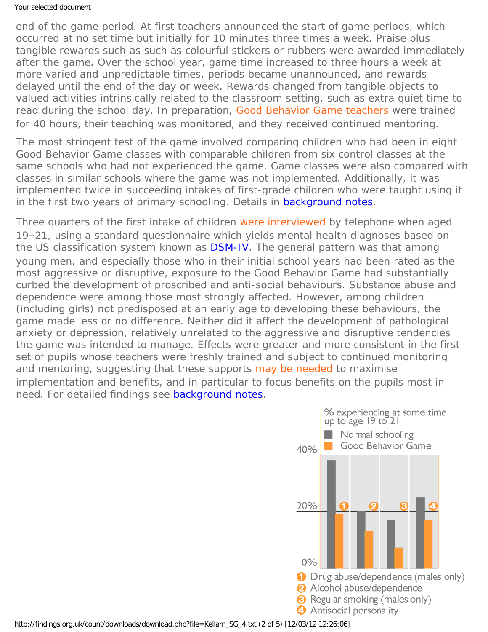#### Your selected document

end of the game period. At first teachers announced the start of game periods, which occurred at no set time but initially for 10 minutes three times a week. Praise plus tangible rewards such as such as colourful stickers or rubbers were awarded immediately after the game. Over the school year, game time increased to three hours a week at more varied and unpredictable times, periods became unannounced, and rewards delayed until the end of the day or week. Rewards changed from tangible objects to valued activities intrinsically related to the classroom setting, such as extra quiet time to read during the school day. In preparation, [Good Behavior Game teachers](#page-0-0) were trained for 40 hours, their teaching was monitored, and they received continued mentoring.

The most stringent test of the game involved comparing children who had been in eight Good Behavior Game classes with comparable children from six control classes at the same schools who had not experienced the game. Game classes were also compared with classes in similar schools where the game was not implemented. Additionally, it was implemented twice in succeeding intakes of first-grade children who were taught using it in the first two years of primary schooling. Details in [background notes.](https://findings.org.uk/count/downloads/download.php?file=Kellam_SG_4_back.htm#methods</a>)

Three quarters of the first intake of children [were interviewed](#page-0-0) by telephone when aged 19–21, using a standard questionnaire which yields mental health diagnoses based on the US classification system known as **DSM-IV**. The general pattern was that among young men, and especially those who in their initial school years had been rated as the most aggressive or disruptive, exposure to the Good Behavior Game had substantially curbed the development of proscribed and anti-social behaviours. Substance abuse and dependence were among those most strongly affected. However, among children (including girls) not predisposed at an early age to developing these behaviours, the game made less or no difference. Neither did it affect the development of pathological anxiety or depression, relatively unrelated to the aggressive and disruptive tendencies the game was intended to manage. Effects were greater and more consistent in the first set of pupils whose teachers were freshly trained and subject to continued monitoring and mentoring, suggesting that these supports [may be needed](#page-0-0) to maximise implementation and benefits, and in particular to focus benefits on the pupils most in need. For detailed findings see [background notes.](https://findings.org.uk/count/downloads/download.php?file=Kellam_SG_4_back.htm#findings</a>)

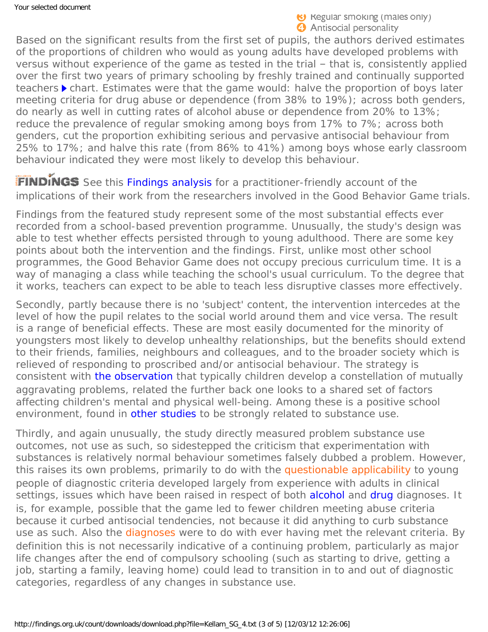Based on the significant results from the first set of pupils, the authors derived estimates of the proportions of children who would as young adults have developed problems with versus without experience of the game as tested in the trial – that is, consistently applied over the first two years of primary schooling by freshly trained and continually supported teachers  $\triangleright$  chart. Estimates were that the game would: halve the proportion of boys later meeting criteria for drug abuse or dependence (from 38% to 19%); across both genders, do nearly as well in cutting rates of alcohol abuse or dependence from 20% to 13%; reduce the prevalence of regular smoking among boys from 17% to 7%; across both genders, cut the proportion exhibiting serious and pervasive antisocial behaviour from 25% to 17%; and halve this rate (from 86% to 41%) among boys whose early classroom behaviour indicated they were most likely to develop this behaviour.

FINDINGS See this [Findings analysis](https://findings.org.uk/count/downloads/download.php?file=Kellam_SG_6.txt) for a practitioner-friendly account of the implications of their work from the researchers involved in the Good Behavior Game trials.

Findings from the featured study represent some of the most substantial effects ever recorded from a school-based prevention programme. Unusually, the study's design was able to test whether effects persisted through to young adulthood. There are some key points about both the intervention and the findings. First, unlike most other school programmes, the Good Behavior Game does not occupy precious curriculum time. It is a way of managing a class while teaching the school's usual curriculum. To the degree that it works, teachers can expect to be able to teach less disruptive classes more effectively.

Secondly, partly because there is no 'subject' content, the intervention intercedes at the level of how the pupil relates to the social world around them and vice versa. The result is a range of beneficial effects. These are most easily documented for the minority of youngsters most likely to develop unhealthy relationships, but the benefits should extend to their friends, families, neighbours and colleagues, and to the broader society which is relieved of responding to proscribed and/or antisocial behaviour. The strategy is consistent with [the observation](http://www.aahb.us/PDFs/PDFs%20RL%20Papers/02%20RL%20Paper.pdf) that typically children develop a constellation of mutually aggravating problems, related the further back one looks to a shared set of factors affecting children's mental and physical well-being. Among these is a positive school environment, found in [other studies](https://findings.org.uk/count/downloads/download.php?file=Henry_KL_2.txt) to be strongly related to substance use.

Thirdly, and again unusually, the study directly measured *problem* substance use outcomes, not use as such, so sidestepped the criticism that experimentation with substances is relatively normal behaviour sometimes falsely dubbed a problem. However, this raises its own problems, primarily to do with the [questionable applicability](#page-0-0) to young people of diagnostic criteria developed largely from experience with adults in clinical settings, issues which have been raised in respect of both [alcohol](http://dx.doi.org/10.1016/j.drugalcdep.2005.03.023) and [drug](http://ajp.psychiatryonline.org/cgi/content/full/155/4/486) diagnoses. It is, for example, possible that the game led to fewer children meeting abuse criteria because it curbed antisocial tendencies, not because it did anything to curb substance use as such. Also the [diagnoses](#page-0-0) were to do with *ever* having met the relevant criteria. By definition this is not necessarily indicative of a continuing problem, particularly as major life changes after the end of compulsory schooling (such as starting to drive, getting a job, starting a family, leaving home) could lead to transition in to and out of diagnostic categories, regardless of any changes in substance use.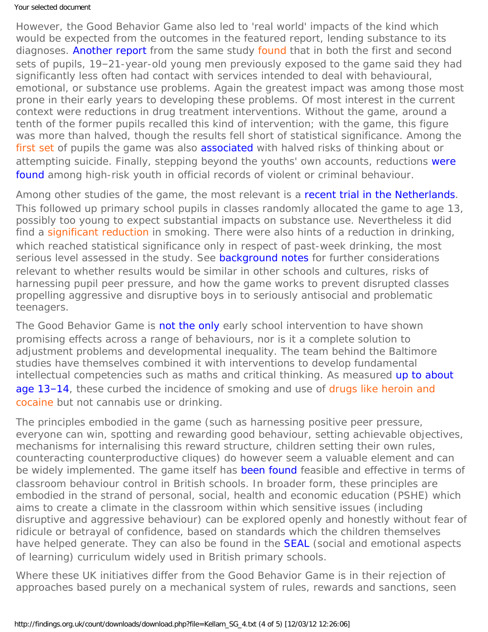### Your selected document

However, the Good Behavior Game also led to 'real world' impacts of the kind which would be expected from the outcomes in the featured report, lending substance to its diagnoses. [Another report](http://dx.doi.org/10.1016/j.drugalcdep.2007.10.009) from the same study [found](#page-0-0) that in both the first and second sets of pupils, 19–21-year-old young men previously exposed to the game said they had significantly less often had contact with services intended to deal with behavioural, emotional, or substance use problems. Again the greatest impact was among those most prone in their early years to developing these problems. Of most interest in the current context were reductions in drug treatment interventions. Without the game, around a tenth of the former pupils recalled this kind of intervention; with the game, this figure was more than halved, though the results fell short of statistical significance. Among the [first set](#page-0-0) of pupils the game was also [associated](http://dx.doi.org/10.1016/j.drugalcdep.2008.01.005) with halved risks of thinking about or attempting suicide. Finally, stepping beyond the youths' own accounts, reductions [were](http://dx.doi.org/10.1016/j.drugalcdep.2007.10.015) [found](http://dx.doi.org/10.1016/j.drugalcdep.2007.10.015) among high-risk youth in official records of violent or criminal behaviour.

Among other studies of the game, the most relevant is a [recent trial in the Netherlands](http://dx.doi.org/10.1016/j.drugalcdep.2008.10.004). This followed up primary school pupils in classes randomly allocated the game to age 13, possibly too young to expect substantial impacts on substance use. Nevertheless it did find a [significant reduction](#page-0-0) in smoking. There were also hints of a reduction in drinking, which reached statistical significance only in respect of past-week drinking, the most serious level assessed in the study. See [background notes](https://findings.org.uk/count/downloads/download.php?file=Kellam_SG_4_back.htm#comments</a>) for further considerations relevant to whether results would be similar in other schools and cultures, risks of harnessing pupil peer pressure, and how the game works to prevent disrupted classes propelling aggressive and disruptive boys in to seriously antisocial and problematic teenagers.

The Good Behavior Game is [not the only](http://www.atypon-link.com/PNG/doi/abs/10.5555/ajhb.2002.26.6.407) early school intervention to have shown promising effects across a range of behaviours, nor is it a complete solution to adjustment problems and developmental inequality. The team behind the Baltimore studies have themselves combined it with interventions to develop fundamental intellectual competencies such as maths and critical thinking. As measured [up to about](https://findings.org.uk/count/downloads/download.php?file=nug_11_8.pdf) [age 13](https://findings.org.uk/count/downloads/download.php?file=nug_11_8.pdf)-14, these curbed the incidence of smoking and use of [drugs like heroin and](#page-0-0) [cocaine](#page-0-0) but not cannabis use or drinking.

The principles embodied in the game (such as harnessing positive peer pressure, everyone can win, spotting and rewarding good behaviour, setting achievable objectives, mechanisms for internalising this reward structure, children setting their own rules, counteracting counterproductive cliques) do however seem a valuable element and can be widely implemented. The game itself has [been found](http://dx.doi.org/10.1177/0145445503261165) feasible and effective in terms of classroom behaviour control in British schools. In broader form, these principles are embodied in the strand of personal, social, health and economic education (PSHE) which aims to create a climate in the classroom within which sensitive issues (including disruptive and aggressive behaviour) can be explored openly and honestly without fear of ridicule or betrayal of confidence, based on standards which the children themselves have helped generate. They can also be found in the **SEAL** (social and emotional aspects of learning) curriculum widely used in British primary schools.

Where these UK initiatives differ from the Good Behavior Game is in their rejection of approaches based purely on a mechanical system of rules, rewards and sanctions, seen